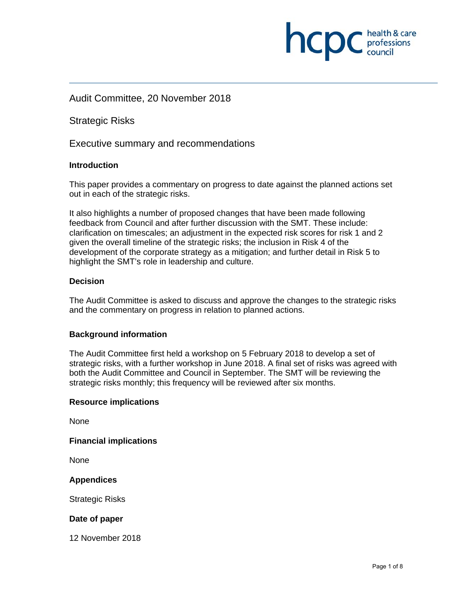# Audit Committee, 20 November 2018

Strategic Risks

Executive summary and recommendations

# **Introduction**

This paper provides a commentary on progress to date against the planned actions set out in each of the strategic risks.

It also highlights a number of proposed changes that have been made following feedback from Council and after further discussion with the SMT. These include: clarification on timescales; an adjustment in the expected risk scores for risk 1 and 2 given the overall timeline of the strategic risks; the inclusion in Risk 4 of the development of the corporate strategy as a mitigation; and further detail in Risk 5 to highlight the SMT's role in leadership and culture.

# **Decision**

The Audit Committee is asked to discuss and approve the changes to the strategic risks and the commentary on progress in relation to planned actions.

# **Background information**

The Audit Committee first held a workshop on 5 February 2018 to develop a set of strategic risks, with a further workshop in June 2018. A final set of risks was agreed with both the Audit Committee and Council in September. The SMT will be reviewing the strategic risks monthly; this frequency will be reviewed after six months.

# **Resource implications**

None

**Financial implications** 

None

# **Appendices**

Strategic Risks

# **Date of paper**

12 November 2018

**INCID** C health & care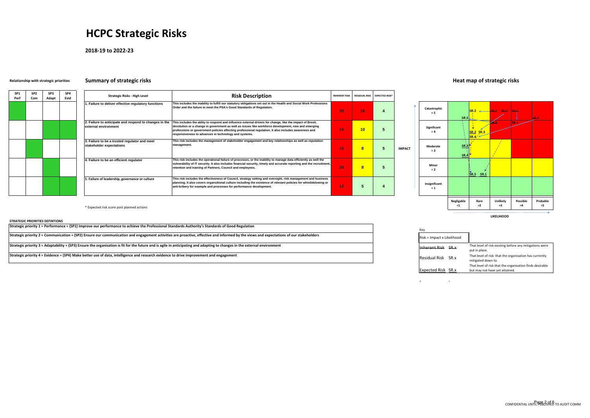| SP <sub>1</sub><br>Perf | SP <sub>2</sub><br>Com | SP3<br>Adapt | SP4<br>Evid |
|-------------------------|------------------------|--------------|-------------|
|                         |                        |              |             |
|                         |                        |              |             |
|                         |                        |              |             |
|                         |                        |              |             |
|                         |                        |              |             |
|                         |                        |              |             |
|                         |                        |              |             |
|                         |                        |              |             |



\* Expected risk score post planned actions

 $\overline{\phantom{a}}$ 

**Expected Risk** 

# **HCPC Strategic Risks**

**2018‐19 to 2022‐23**

# **Relationship with strategic priorities Summary of strategic risks Heat map of strategic risks**

| Strategic Risks - High Level                                                   | <b>Risk Description</b>                                                                                                                                                                                                                                                                                                                                                           | <b>INHERENT RISK</b> | <b>RESIDUAL RISK</b> | <b>EXPECTED RISK*</b> |               |                      |
|--------------------------------------------------------------------------------|-----------------------------------------------------------------------------------------------------------------------------------------------------------------------------------------------------------------------------------------------------------------------------------------------------------------------------------------------------------------------------------|----------------------|----------------------|-----------------------|---------------|----------------------|
| 1. Failure to deliver effective regulatory functions                           | This includes the inability to fulfill our statutory obligations set out in the Health and Social Work Professions<br>Order and the failure to meet the PSA's Good Standards of Regulation.                                                                                                                                                                                       | 20                   | 16                   |                       |               | Catastrophio<br>= 5  |
| 2. Failure to anticipate and respond to changes in the<br>external environment | This includes the ablity to respond and influence external drivers for change, like the impact of Brexit,<br>devolution or a change in government as well as issues like workforce development, new and emerging<br>professions or government policies affecting professional regulation. It also includes awareness and<br>responsiveness to advances in technology and systems. | 15                   | 10                   |                       |               | Significant<br>$= 4$ |
| 3. Failure to be a trusted regulator and meet<br>stakeholder expectations      | This risk includes the management of stakeholder engagement and key relationships as well as reputation<br>management.                                                                                                                                                                                                                                                            | 15                   | 8                    |                       | <b>IMPACT</b> | Moderate<br>$= 3$    |
| 4. Failure to be an efficient regulator                                        | This risk includes the operational failure of processes, or the inability to manage data efficiently as well the<br>vulnerability of IT security. It also includes financial security, timely and accurate reporting and the recruitment,<br>retention and training of Partners, Council and employees.                                                                           | 25                   | 8                    |                       |               | Minor<br>$= 2$       |
| 5. Failure of leadership, governance or culture                                | This risk includes the effectiveness of Council, strategy setting and oversight, risk management and business<br>planning. It also covers organsitional culture including the existence of relevant policies for whistleblowing or<br>anti-bribery for example and processes for performance development.                                                                         | 12                   | 5                    |                       |               | Insignificant<br>= 1 |

**LIKELIHOOD**

| That level of risk existing before any mitigations were<br>SR.x<br>put in place.                   |  |
|----------------------------------------------------------------------------------------------------|--|
| That level of risk that the organisation has currently<br>SR.x<br>mitigated down to.               |  |
| That level of risk that the organisation finds desirable<br>SR.x<br>but may not have yet attained. |  |

 $\sim$ 

**STRATEGIC PRIORITIES DEFINTIONS**

| Strategic priority 1 = Performance = (SP1) Improve our performance to achieve the Professional Standards Authority's Standards of Good Regulation                                       |                            |                                                   |
|-----------------------------------------------------------------------------------------------------------------------------------------------------------------------------------------|----------------------------|---------------------------------------------------|
| Strategic priority 2 = Communication = (SP2) Ensure our communication and engagement activities are proactive, effective and informed by the views and expectations of our stakeholders | Risk = Impact x Likelihood |                                                   |
| Strategic priority 3 = Adaptability = (SP3) Ensure the organisation is fit for the future and is agile in anticipating and adapting to changes in the external environment              | <b>Inherent Risk SR.x</b>  | That level of risk existing<br>put in place.      |
| Strategic priority 4 = Evidence = (SP4) Make better use of data, intelligence and research evidence to drive improvement and engagement                                                 | Residual Risk SR.x         | That level of risk that the<br>mitigated down to. |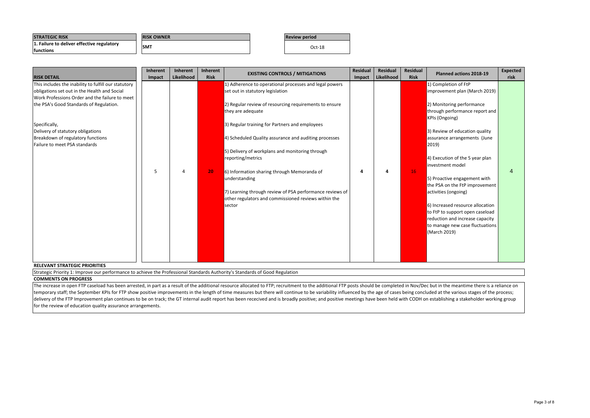### **COMMENTS ON PROGRESS**

Strategic Priority 1: Improve our performance to achieve the Professional Standards Authority's Standards of Good Regulation

The increase in open FTP caseload has been arrested, in part as a result of the additional resource allocated to FTP; recruitment to the additional FTP posts should be completed in Nov/Dec but in the meantime there is a re temporary staff; the September KPIs for FTP show positive improvements in the length of time measures but there will continue to be variability influenced by the age of cases being concluded at the various stages of the pr delivery of the FTP Improvement plan continues to be on track; the GT internal audit report has been rececived and is broadly positive; and positive meetings have been held with CODH on establishing a stakeholder working g for the review of education quality assurance arrangements.

| <b>STRATEGIC RISK</b>                                           | <b>RISK OWNER</b> | <b>IReview period</b> |
|-----------------------------------------------------------------|-------------------|-----------------------|
| 1. Failure to deliver effective regulatory<br><b>Ifunctions</b> | <b>SM1</b>        | $Oct-18$              |

| <b>RISK DETAIL</b>                                   | Inherent<br>Impact | Inherent<br>Likelihood | <b>Inherent</b><br><b>Risk</b> | <b>EXISTING CONTROLS / MITIGATIONS</b>                   | <b>Residual</b><br>Impact | <b>Residual</b><br>Likelihood | <b>Residual</b><br><b>Risk</b> | Planned actions 2018-19          | <b>Expected</b><br>risk |
|------------------------------------------------------|--------------------|------------------------|--------------------------------|----------------------------------------------------------|---------------------------|-------------------------------|--------------------------------|----------------------------------|-------------------------|
| This includes the inability to fulfill our statutory |                    |                        |                                | 1) Adherence to operational processes and legal powers   |                           |                               |                                | 1) Completion of FtP             |                         |
| obligations set out in the Health and Social         |                    |                        |                                | set out in statutory legislation                         |                           |                               |                                | improvement plan (March 2019)    |                         |
| Work Professions Order and the failure to meet       |                    |                        |                                |                                                          |                           |                               |                                |                                  |                         |
| the PSA's Good Standards of Regulation.              |                    |                        |                                | 2) Regular review of resourcing requirements to ensure   |                           |                               |                                | 2) Monitoring performance        |                         |
|                                                      |                    |                        |                                | they are adequate                                        |                           |                               |                                | through performance report and   |                         |
|                                                      |                    |                        |                                |                                                          |                           |                               |                                | <b>KPIs (Ongoing)</b>            |                         |
| Specifically,                                        |                    |                        |                                | 3) Regular training for Partners and employees           |                           |                               |                                |                                  |                         |
| Delivery of statutory obligations                    |                    |                        |                                |                                                          |                           |                               |                                | 3) Review of education quality   |                         |
| Breakdown of regulatory functions                    |                    |                        |                                | 4) Scheduled Quality assurance and auditing processes    |                           |                               |                                | assurance arrangements (June     |                         |
| Failure to meet PSA standards                        |                    |                        |                                |                                                          |                           |                               |                                | $ 2019\rangle$                   |                         |
|                                                      |                    |                        |                                | 5) Delivery of workplans and monitoring through          |                           |                               |                                |                                  |                         |
|                                                      |                    |                        |                                | reporting/metrics                                        |                           |                               |                                | 4) Execution of the 5 year plan  |                         |
|                                                      |                    |                        |                                |                                                          |                           |                               |                                | investment model                 |                         |
|                                                      | .5                 |                        | 20                             | 6) Information sharing through Memoranda of              |                           |                               | 16                             |                                  | 4                       |
|                                                      |                    |                        |                                | understanding                                            |                           |                               |                                | 5) Proactive engagement with     |                         |
|                                                      |                    |                        |                                |                                                          |                           |                               |                                | the PSA on the FtP improvement   |                         |
|                                                      |                    |                        |                                | 7) Learning through review of PSA performance reviews of |                           |                               |                                | activities (ongoing)             |                         |
|                                                      |                    |                        |                                | other regulators and commissioned reviews within the     |                           |                               |                                | 6) Increased resource allocation |                         |
|                                                      |                    |                        |                                | sector                                                   |                           |                               |                                | to FtP to support open caseload  |                         |
|                                                      |                    |                        |                                |                                                          |                           |                               |                                | reduction and increase capacity  |                         |
|                                                      |                    |                        |                                |                                                          |                           |                               |                                | to manage new case fluctuations  |                         |
|                                                      |                    |                        |                                |                                                          |                           |                               |                                | (March 2019)                     |                         |
|                                                      |                    |                        |                                |                                                          |                           |                               |                                |                                  |                         |
|                                                      |                    |                        |                                |                                                          |                           |                               |                                |                                  |                         |
|                                                      |                    |                        |                                |                                                          |                           |                               |                                |                                  |                         |
|                                                      |                    |                        |                                |                                                          |                           |                               |                                |                                  |                         |
| <b>RELEVANT STRATEGIC PRIORITIES</b>                 |                    |                        |                                |                                                          |                           |                               |                                |                                  |                         |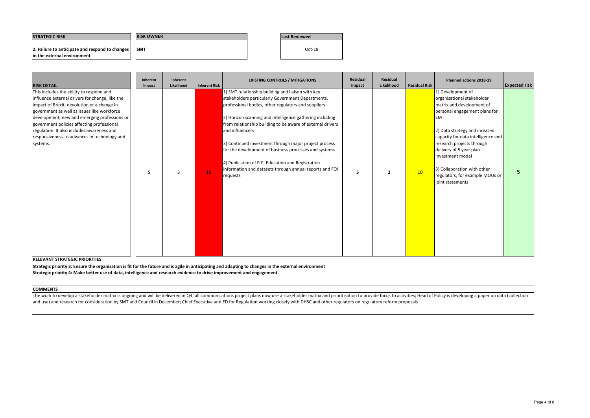| <b>ISTRATEGIC RISK</b>                          | <b>RISK OWNER</b> | Last Reviewed |
|-------------------------------------------------|-------------------|---------------|
| 2. Failure to anticipate and respond to changes | <b>SMT</b>        | $Oct-18$      |
| lin the external environment                    |                   |               |

**COMMENTS**

The work to develop a stakeholder matrix is ongoing and will be delivered in Q4; all communications project plans now use a stakeholder matrix and prioritisation to provide focus to activities; Head of Policy is developing and use) and research for consideration by SMT and Council in December; Chief Executive and ED for Regulation working closely with DHSC and other regulators on regulatory reform proposals

| <b>RISK DETAIL</b>                                                                                                                                                                                                                                                                                                                                                                                | Inherent<br>Impact | Inherent<br>Likelihood | <b>Inherent Risk</b> | <b>EXISTING CONTROLS / MITIGATIONS</b>                                                                                                                                                                                                                                                                                                                                                                                                                                                                                                                   | Residual<br>Impact | <b>Residual</b><br>Likelihood | <b>Residual Risk</b> | Planned actions 2018-19                                                                                                                                                                                                                                                                                                                                                | <b>Expected risk</b> |
|---------------------------------------------------------------------------------------------------------------------------------------------------------------------------------------------------------------------------------------------------------------------------------------------------------------------------------------------------------------------------------------------------|--------------------|------------------------|----------------------|----------------------------------------------------------------------------------------------------------------------------------------------------------------------------------------------------------------------------------------------------------------------------------------------------------------------------------------------------------------------------------------------------------------------------------------------------------------------------------------------------------------------------------------------------------|--------------------|-------------------------------|----------------------|------------------------------------------------------------------------------------------------------------------------------------------------------------------------------------------------------------------------------------------------------------------------------------------------------------------------------------------------------------------------|----------------------|
| This includes the ability to respond and<br>influence external drivers for change, like the<br>impact of Brexit, devolution or a change in<br>government as well as issues like workforce<br>development, new and emerging professions or<br>government policies affecting professional<br>regulation. It also includes awareness and<br>responsiveness to advances in technology and<br>systems. | 5                  | 3                      | 15                   | 1) SMT relationship building and liaison with key<br>stakeholders particularly Government Departments,<br>professional bodies, other regulators and suppliers<br>2) Horizon scanning and intelligence gathering including<br>from relationship building to be aware of external drivers<br>and influencers<br>3) Continued investment through major project process<br>for the development of business processes and systems<br>4) Publication of FtP, Education and Registration<br>information and datasets through annual reports and FOI<br>requests | 5                  | $\overline{2}$                | 10                   | 1) Development of<br>organisational stakeholder<br>matrix and development of<br>personal engagement plans for<br><b>I</b> SMT<br>2) Data strategy and inreased<br>capacity for data intelligence and<br>research projects through<br>delivery of 5 year plan<br>investment model<br>3) Collaboration with other<br>regulators, for example MOUs or<br>joint statements | $\overline{5}$       |

Strategic priority 3: Ensure the organisation is fit for the future and is agile in anticipating and adapting to changes in the external environment Strategic priority 4: Make better use of data, intelligence and research evidence to drive improvement and engagement.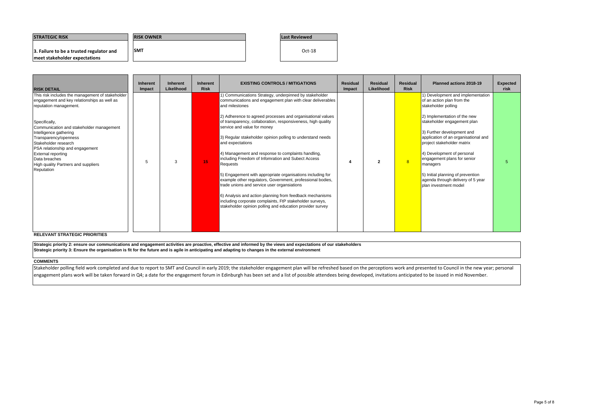Stakeholder polling field work completed and due to report to SMT and Council in early 2019; the stakeholder engagement plan will be refreshed based on the perceptions work and presented to Council in the new year; persona engagement plans work will be taken forward in Q4; <sup>a</sup> date for the engagement forum in Edinburgh has been set and <sup>a</sup> list of possible attendees being developed, invitations anticipated to be issued in mid November.

**RELEVANT STRATEGIC PRIORITIES**

### **COMMENTS**

| <b>ISTRATEGIC RISK</b>                   | <b>IRISK OWNER</b> | Last Reviewed |
|------------------------------------------|--------------------|---------------|
| 3. Failure to be a trusted regulator and | <b>ISMT</b>        | $Oct-18$      |
| meet stakeholder expectations            |                    |               |

**Strategic priority 2: ensure our communications and engagement activities are proactive, effective and informed by the views and expectations of our stakeholders Strategic priority 3: Ensure the organisation is fit for the future and is agile in anticipating and adapting to changes in the external environment**

| <b>RISK DETAIL</b>                                                                                                                                                                                                                                                                                                                                                                                      | <b>Inherent</b><br>Impact | <b>Inherent</b><br>Likelihood | <b>Inherent</b><br><b>Risk</b> | <b>EXISTING CONTROLS / MITIGATIONS</b>                                                                                                                                                                                                                                                                                                                                                                                                                                                                                                                                                                                                                                                                                                                                                                                                                                               | <b>Residual</b><br>Impact | <b>Residual</b><br>Likelihood | <b>Residual</b><br><b>Risk</b> | <b>Planned actions 2018-19</b>                                                                                                                                                                                                                                                                                                                                                                                                        | <b>Expected</b><br>risk |
|---------------------------------------------------------------------------------------------------------------------------------------------------------------------------------------------------------------------------------------------------------------------------------------------------------------------------------------------------------------------------------------------------------|---------------------------|-------------------------------|--------------------------------|--------------------------------------------------------------------------------------------------------------------------------------------------------------------------------------------------------------------------------------------------------------------------------------------------------------------------------------------------------------------------------------------------------------------------------------------------------------------------------------------------------------------------------------------------------------------------------------------------------------------------------------------------------------------------------------------------------------------------------------------------------------------------------------------------------------------------------------------------------------------------------------|---------------------------|-------------------------------|--------------------------------|---------------------------------------------------------------------------------------------------------------------------------------------------------------------------------------------------------------------------------------------------------------------------------------------------------------------------------------------------------------------------------------------------------------------------------------|-------------------------|
| This risk includes the management of stakeholder<br>engagement and key relationships as well as<br>reputation management.<br>Specifically,<br>Communication and stakeholder management<br>Intelligence gathering<br>Transparency/openness<br>Stakeholder research<br>PSA relationship and engagement<br><b>External reporting</b><br>Data breaches<br>High quality Partners and suppliers<br>Reputation |                           | 3                             | 15 <sub>1</sub>                | 1) Communications Strategy, underpinned by stakeholder<br>communications and engagement plan with clear deliverables<br>and milestones<br>2) Adherence to agreed processes and organisational values<br>of transparency, collaboration, responsiveness, high quality<br>service and value for money<br>3) Regular stakeholder opinion polling to understand needs<br>and expectations<br>4) Management and response to complaints handling,<br>including Freedom of Infomration and Subect Access<br><b>Requests</b><br>5) Engagement with appropriate organisations including for<br>example other regulators, Government, professional bodies,<br>trade unions and service user organsiations<br>6) Analysis and action planning from feedback mechanisms<br>including corporate complaints, FtP stakeholder surveys,<br>stakeholder opinion polling and education provider survey |                           |                               | 8                              | 1) Development and implementation<br>of an action plan from the<br>stakeholder polling<br>2) Implementation of the new<br>stakeholder engagement plan<br>3) Further development and<br>application of an organisational and<br>project stakeholder matrix<br>4) Development of personal<br>engagement plans for senior<br>managers<br>5) Initial planning of prevention<br>agenda through delivery of 5 year<br>plan investment model |                         |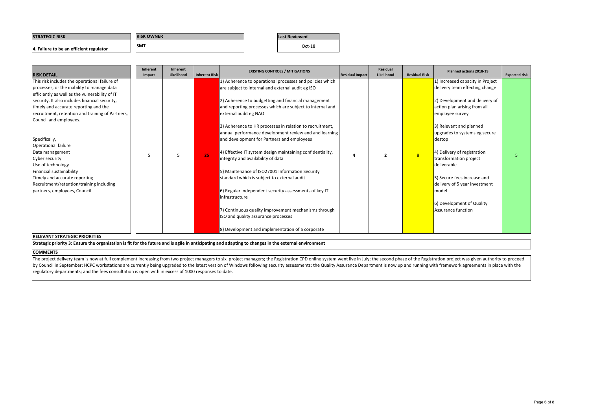| <b>STRATEGIC RISK</b>                   | <b>RISK OWNER</b> | <b>Last Reviewed</b> |
|-----------------------------------------|-------------------|----------------------|
| 4. Failure to be an efficient regulator | <b>SMT</b>        | Oct-18               |

### **RELEVANT STRATEGIC PRIORITIES**

Strategic priority 3: Ensure the organisation is fit for the future and is agile in anticipating and adapting to changes in the external environment

### **COMMENTS**

The project delivery team is now at full complement increasing from two project managers to six project managers; the Registration CPD online system went live in July; the second phase of the Registration project was given by Council in September; HCPC workstations are currently being upgraded to the latest version of Windows following security assessments; the Quality Assurance Department is now up and running with framework agreements in p regulatory departments; and the fees consultation is open with in excess of 1000 responses to date.

| <b>RISK DETAIL</b>                               | Inherent<br>Impact | Inherent<br>Likelihood | Inherent Risk | <b>EXISTING CONTROLS / MITIGATIONS</b>                     | <b>Residual Impact</b> | Residual<br>Likelihood | <b>Residual Risk</b> | Planned actions 2018-19          | <b>Expected risk</b> |
|--------------------------------------------------|--------------------|------------------------|---------------|------------------------------------------------------------|------------------------|------------------------|----------------------|----------------------------------|----------------------|
| This risk includes the operational failure of    |                    |                        |               | 1) Adherence to operational processes and policies which   |                        |                        |                      | 1) Increased capacity in Project |                      |
| processes, or the inability to manage data       |                    |                        |               | are subject to internal and external audit eg ISO          |                        |                        |                      | delivery team effecting change   |                      |
| efficiently as well as the vulnerability of IT   |                    |                        |               |                                                            |                        |                        |                      |                                  |                      |
| security. It also includes financial security,   |                    |                        |               | 2) Adherence to budgetting and financial management        |                        |                        |                      | 2) Development and delivery of   |                      |
| timely and accurate reporting and the            |                    |                        |               | and reporting processes which are subject to internal and  |                        |                        |                      | action plan arising from all     |                      |
| recruitment, retention and training of Partners, |                    |                        |               | external audit eg NAO                                      |                        |                        |                      | employee survey                  |                      |
| Council and employees.                           |                    |                        |               |                                                            |                        |                        |                      |                                  |                      |
|                                                  |                    |                        |               | 3) Adherence to HR processes in relation to recruitment,   |                        |                        |                      | 3) Relevant and planned          |                      |
|                                                  |                    |                        |               | annual performance development review and and learning     |                        |                        |                      | upgrades to systems eg secure    |                      |
| Specifically,                                    |                    |                        |               | and development for Partners and employees                 |                        |                        |                      | destop                           |                      |
| Operational failure                              |                    |                        |               |                                                            |                        |                        |                      |                                  |                      |
| Data management                                  |                    |                        |               | 4) Effective IT system design maintaining confidentiality, |                        |                        |                      | 4) Delivery of registration      |                      |
| Cyber security                                   |                    | 5                      | 25            | integrity and availability of data                         | 4                      |                        | 8 <sup>°</sup>       | transformation project           |                      |
| Use of technology                                |                    |                        |               |                                                            |                        |                        |                      | deliverable                      |                      |
| Financial sustainability                         |                    |                        |               | 5) Maintenance of ISO27001 Information Security            |                        |                        |                      |                                  |                      |
| Timely and accurate reporting                    |                    |                        |               | standard which is subject to external audit                |                        |                        |                      | 5) Secure fees increase and      |                      |
| Recruitment/retention/training including         |                    |                        |               |                                                            |                        |                        |                      | delivery of 5 year investment    |                      |
| partners, employees, Council                     |                    |                        |               | 6) Regular independent security assessments of key IT      |                        |                        |                      | model                            |                      |
|                                                  |                    |                        |               | infrastructure                                             |                        |                        |                      |                                  |                      |
|                                                  |                    |                        |               |                                                            |                        |                        |                      | 6) Development of Quality        |                      |
|                                                  |                    |                        |               | 7) Continuous quality improvement mechanisms through       |                        |                        |                      | Assurance function               |                      |
|                                                  |                    |                        |               | ISO and quality assurance processes                        |                        |                        |                      |                                  |                      |
|                                                  |                    |                        |               |                                                            |                        |                        |                      |                                  |                      |
|                                                  |                    |                        |               | 8) Development and implementation of a corporate           |                        |                        |                      |                                  |                      |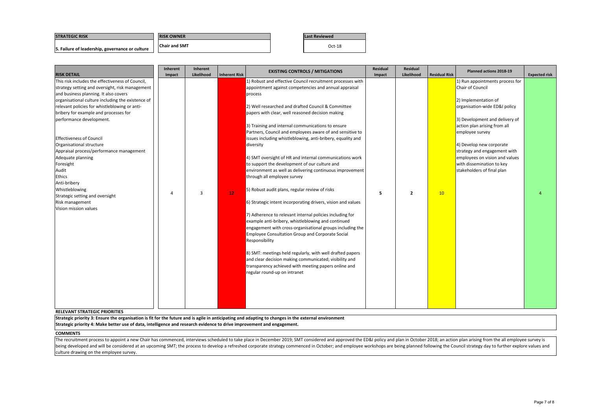### **STRATEGIC RISK**

**Last Reviewed**

**5. Failure of leadership, governance or culture** Oct‐<sup>18</sup>

### **COMMENTS**

# **RISK OWNER Chair and SMT**

The recruitment process to appoint a new Chair has commenced, interviews scheduled to take place in December 2019; SMT considered and approved the ED&I policy and plan in October 2018; an action plan arising from the all e being developed and will be considered at an upcoming SMT; the process to develop a refreshed corporate strategy commenced in October; and employee workshops are being planned following the Council strategy day to further culture drawing on the employee survey.

| <b>RISK DETAIL</b>                                | <b>Inherent</b><br>Impact | <b>Inherent</b><br>Likelihood | <b>Inherent Risk</b> | <b>EXISTING CONTROLS / MITIGATIONS</b>                                                                         | <b>Residual</b><br>Impact | <b>Residual</b><br>Likelihood | <b>Residual Risk</b> | Planned actions 2018-19                         | <b>Expected risk</b> |
|---------------------------------------------------|---------------------------|-------------------------------|----------------------|----------------------------------------------------------------------------------------------------------------|---------------------------|-------------------------------|----------------------|-------------------------------------------------|----------------------|
| This risk includes the effectiveness of Council,  |                           |                               |                      | 1) Robust and effective Council recruitment processes with                                                     |                           |                               |                      | 1) Run appointments process for                 |                      |
| strategy setting and oversight, risk management   |                           |                               |                      | appointment against competencies and annual appraisal                                                          |                           |                               |                      | Chair of Council                                |                      |
| and business planning. It also covers             |                           |                               |                      | process                                                                                                        |                           |                               |                      |                                                 |                      |
| organisational culture including the existence of |                           |                               |                      |                                                                                                                |                           |                               |                      | 2) Implementation of                            |                      |
| relevant policies for whistleblowing or anti-     |                           |                               |                      | 2) Well researched and drafted Council & Committee                                                             |                           |                               |                      | organisation-wide ED&I policy                   |                      |
| bribery for example and processes for             |                           |                               |                      | papers with clear, well reasoned decision making                                                               |                           |                               |                      |                                                 |                      |
| performance development.                          |                           |                               |                      |                                                                                                                |                           |                               |                      | 3) Development and delivery of                  |                      |
|                                                   |                           |                               |                      | 3) Training and internal communications to ensure<br>Partners, Council and employees aware of and sensitive to |                           |                               |                      | action plan arising from all<br>employee survey |                      |
| <b>Effectiveness of Council</b>                   |                           |                               |                      | issues including whistleblowing, anti-bribery, equality and                                                    |                           |                               |                      |                                                 |                      |
| Organisational structure                          |                           |                               |                      | diversity                                                                                                      |                           |                               |                      | 4) Develop new corporate                        |                      |
| Appraisal process/performance management          |                           |                               |                      |                                                                                                                |                           |                               |                      | strategy and engagement with                    |                      |
| Adequate planning                                 |                           |                               |                      | 4) SMT oversight of HR and internal communications work                                                        |                           |                               |                      | employees on vision and values                  |                      |
| Foresight                                         |                           |                               |                      | to support the development of our culture and                                                                  |                           |                               |                      | with dissemination to key                       |                      |
| Audit                                             |                           |                               |                      | environment as well as delivering continuous improvement                                                       |                           |                               |                      | stakeholders of final plan                      |                      |
| Ethics                                            |                           |                               |                      | through all employee survey                                                                                    |                           |                               |                      |                                                 |                      |
| Anti-bribery                                      |                           |                               |                      |                                                                                                                |                           |                               |                      |                                                 |                      |
| Whistleblowing                                    |                           |                               |                      | 5) Robust audit plans, regular review of risks                                                                 |                           |                               |                      |                                                 |                      |
| Strategic setting and oversight                   | 4                         | 3                             | $12$                 |                                                                                                                | -5                        | $\overline{2}$                | 10                   |                                                 |                      |
| Risk management                                   |                           |                               |                      | 6) Strategic intent incorporating drivers, vision and values                                                   |                           |                               |                      |                                                 |                      |
| Vision mission values                             |                           |                               |                      | 7) Adherence to relevant internal policies including for                                                       |                           |                               |                      |                                                 |                      |
|                                                   |                           |                               |                      | example anti-bribery, whistleblowing and continued                                                             |                           |                               |                      |                                                 |                      |
|                                                   |                           |                               |                      | engagement with cross-organisational groups including the                                                      |                           |                               |                      |                                                 |                      |
|                                                   |                           |                               |                      | <b>Employee Consultation Group and Corporate Social</b>                                                        |                           |                               |                      |                                                 |                      |
|                                                   |                           |                               |                      | Responsibility                                                                                                 |                           |                               |                      |                                                 |                      |
|                                                   |                           |                               |                      |                                                                                                                |                           |                               |                      |                                                 |                      |
|                                                   |                           |                               |                      | 8) SMT: meetings held regularly, with well drafted papers                                                      |                           |                               |                      |                                                 |                      |
|                                                   |                           |                               |                      | and clear decision making communicated; visibility and                                                         |                           |                               |                      |                                                 |                      |
|                                                   |                           |                               |                      | transparency achieved with meeting papers online and                                                           |                           |                               |                      |                                                 |                      |
|                                                   |                           |                               |                      | regular round-up on intranet                                                                                   |                           |                               |                      |                                                 |                      |
|                                                   |                           |                               |                      |                                                                                                                |                           |                               |                      |                                                 |                      |
|                                                   |                           |                               |                      |                                                                                                                |                           |                               |                      |                                                 |                      |
|                                                   |                           |                               |                      |                                                                                                                |                           |                               |                      |                                                 |                      |
|                                                   |                           |                               |                      |                                                                                                                |                           |                               |                      |                                                 |                      |
|                                                   |                           |                               |                      |                                                                                                                |                           |                               |                      |                                                 |                      |
| <b>RELEVANT STRATEGIC PRIORITIES</b>              |                           |                               |                      |                                                                                                                |                           |                               |                      |                                                 |                      |

Strategic priority 3: Ensure the organisation is fit for the future and is agile in anticipating and adapting to changes in the external environment

Strategic priority 4: Make better use of data, intelligence and research evidence to drive improvement and engagement.